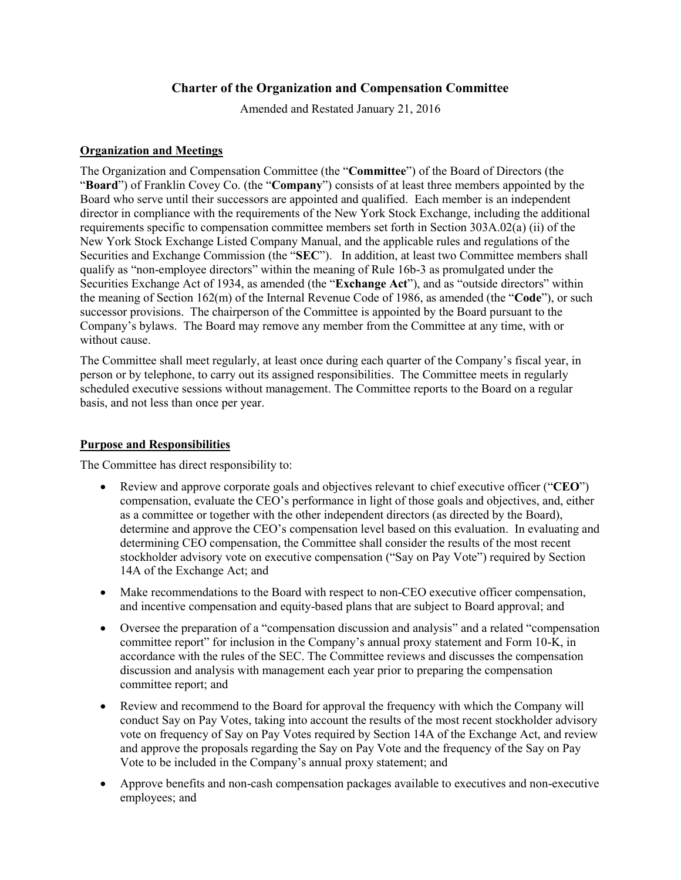# **Charter of the Organization and Compensation Committee**

Amended and Restated January 21, 2016

## **Organization and Meetings**

The Organization and Compensation Committee (the "**Committee**") of the Board of Directors (the "**Board**") of Franklin Covey Co. (the "**Company**") consists of at least three members appointed by the Board who serve until their successors are appointed and qualified. Each member is an independent director in compliance with the requirements of the New York Stock Exchange, including the additional requirements specific to compensation committee members set forth in Section 303A.02(a) (ii) of the New York Stock Exchange Listed Company Manual, and the applicable rules and regulations of the Securities and Exchange Commission (the "**SEC**"). In addition, at least two Committee members shall qualify as "non-employee directors" within the meaning of Rule 16b-3 as promulgated under the Securities Exchange Act of 1934, as amended (the "**Exchange Act**"), and as "outside directors" within the meaning of Section 162(m) of the Internal Revenue Code of 1986, as amended (the "**Code**"), or such successor provisions. The chairperson of the Committee is appointed by the Board pursuant to the Company's bylaws. The Board may remove any member from the Committee at any time, with or without cause.

The Committee shall meet regularly, at least once during each quarter of the Company's fiscal year, in person or by telephone, to carry out its assigned responsibilities. The Committee meets in regularly scheduled executive sessions without management. The Committee reports to the Board on a regular basis, and not less than once per year.

### **Purpose and Responsibilities**

The Committee has direct responsibility to:

- x Review and approve corporate goals and objectives relevant to chief executive officer ("**CEO**") compensation, evaluate the CEO's performance in light of those goals and objectives, and, either as a committee or together with the other independent directors (as directed by the Board), determine and approve the CEO's compensation level based on this evaluation. In evaluating and determining CEO compensation, the Committee shall consider the results of the most recent stockholder advisory vote on executive compensation ("Say on Pay Vote") required by Section 14A of the Exchange Act; and
- Make recommendations to the Board with respect to non-CEO executive officer compensation, and incentive compensation and equity-based plans that are subject to Board approval; and
- Oversee the preparation of a "compensation discussion and analysis" and a related "compensation" committee report" for inclusion in the Company's annual proxy statement and Form 10-K, in accordance with the rules of the SEC. The Committee reviews and discusses the compensation discussion and analysis with management each year prior to preparing the compensation committee report; and
- Review and recommend to the Board for approval the frequency with which the Company will conduct Say on Pay Votes, taking into account the results of the most recent stockholder advisory vote on frequency of Say on Pay Votes required by Section 14A of the Exchange Act, and review and approve the proposals regarding the Say on Pay Vote and the frequency of the Say on Pay Vote to be included in the Company's annual proxy statement; and
- Approve benefits and non-cash compensation packages available to executives and non-executive employees; and